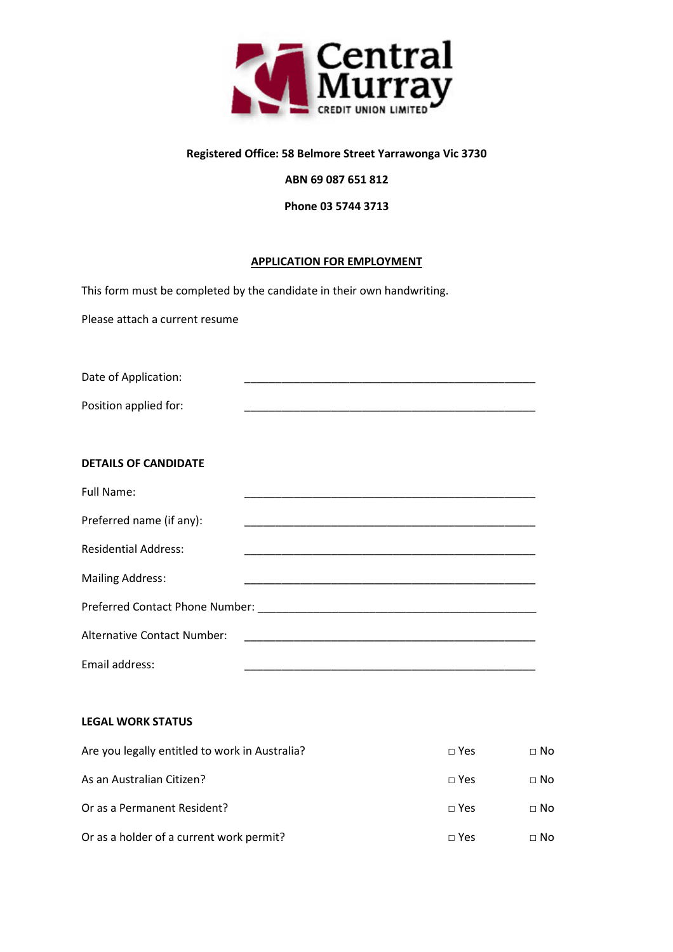

## **Registered Office: 58 Belmore Street Yarrawonga Vic 3730**

# **ABN 69 087 651 812**

**Phone 03 5744 3713** 

## **APPLICATION FOR EMPLOYMENT**

This form must be completed by the candidate in their own handwriting.

Please attach a current resume

Date of Application:

Position applied for:

## **DETAILS OF CANDIDATE**

| Full Name:                  |                                                                                                               |
|-----------------------------|---------------------------------------------------------------------------------------------------------------|
| Preferred name (if any):    |                                                                                                               |
| <b>Residential Address:</b> |                                                                                                               |
| <b>Mailing Address:</b>     |                                                                                                               |
|                             | Preferred Contact Phone Number: 2008 2010 2020 2021 2021 2022 2023 2024 2022 2023 2024 2022 2023 2024 2022 20 |
| Alternative Contact Number: |                                                                                                               |
| Email address:              |                                                                                                               |

### **LEGAL WORK STATUS**

| Are you legally entitled to work in Australia? | $\sqcap$ Yes | $\Box$ No   |
|------------------------------------------------|--------------|-------------|
| As an Australian Citizen?                      | $\Box$ Yes   | $\Box$ No   |
| Or as a Permanent Resident?                    | $\sqcap$ Yes | $\Box$ No   |
| Or as a holder of a current work permit?       | $\Box$ Yes   | $\sqcap$ No |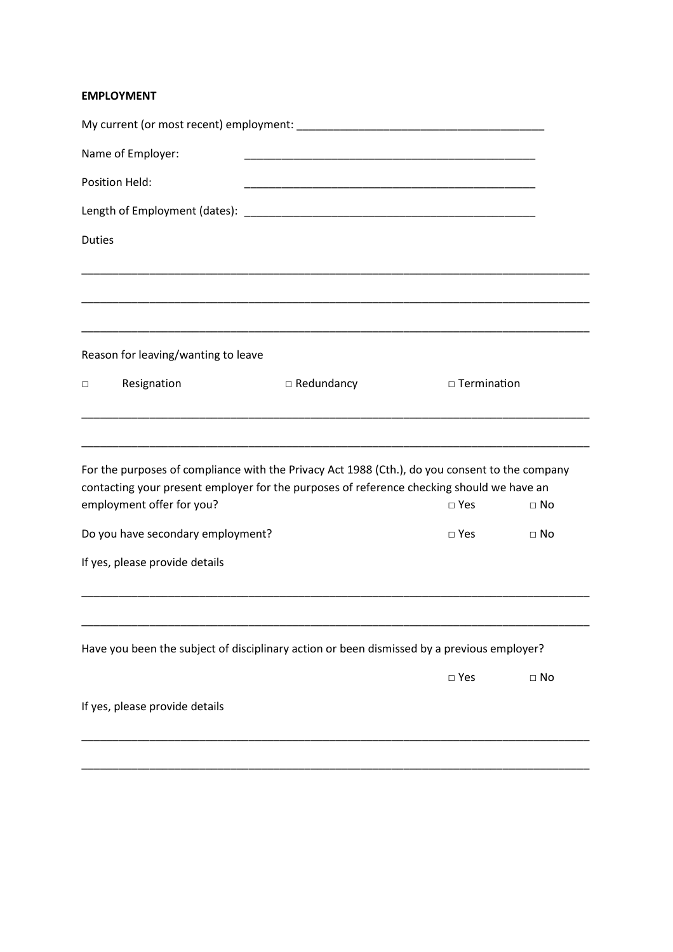# **EMPLOYMENT**

|               | Name of Employer:                   |                                                                                                |               |           |
|---------------|-------------------------------------|------------------------------------------------------------------------------------------------|---------------|-----------|
|               | Position Held:                      |                                                                                                |               |           |
|               |                                     |                                                                                                |               |           |
| <b>Duties</b> |                                     |                                                                                                |               |           |
|               |                                     |                                                                                                |               |           |
|               |                                     |                                                                                                |               |           |
|               |                                     |                                                                                                |               |           |
|               | Reason for leaving/wanting to leave |                                                                                                |               |           |
| □             | Resignation                         | $\Box$ Redundancy                                                                              | □ Termination |           |
|               |                                     |                                                                                                |               |           |
|               |                                     |                                                                                                |               |           |
|               |                                     | For the purposes of compliance with the Privacy Act 1988 (Cth.), do you consent to the company |               |           |
|               | employment offer for you?           | contacting your present employer for the purposes of reference checking should we have an      | $\square$ Yes | $\Box$ No |
|               | Do you have secondary employment?   |                                                                                                | $\square$ Yes | $\Box$ No |
|               | If yes, please provide details      |                                                                                                |               |           |
|               |                                     |                                                                                                |               |           |
|               |                                     |                                                                                                |               |           |
|               |                                     | Have you been the subject of disciplinary action or been dismissed by a previous employer?     |               |           |
|               |                                     |                                                                                                |               |           |
|               |                                     |                                                                                                | $\square$ Yes | $\Box$ No |
|               | If yes, please provide details      |                                                                                                |               |           |
|               |                                     |                                                                                                |               |           |

\_\_\_\_\_\_\_\_\_\_\_\_\_\_\_\_\_\_\_\_\_\_\_\_\_\_\_\_\_\_\_\_\_\_\_\_\_\_\_\_\_\_\_\_\_\_\_\_\_\_\_\_\_\_\_\_\_\_\_\_\_\_\_\_\_\_\_\_\_\_\_\_\_\_\_\_\_\_\_\_\_\_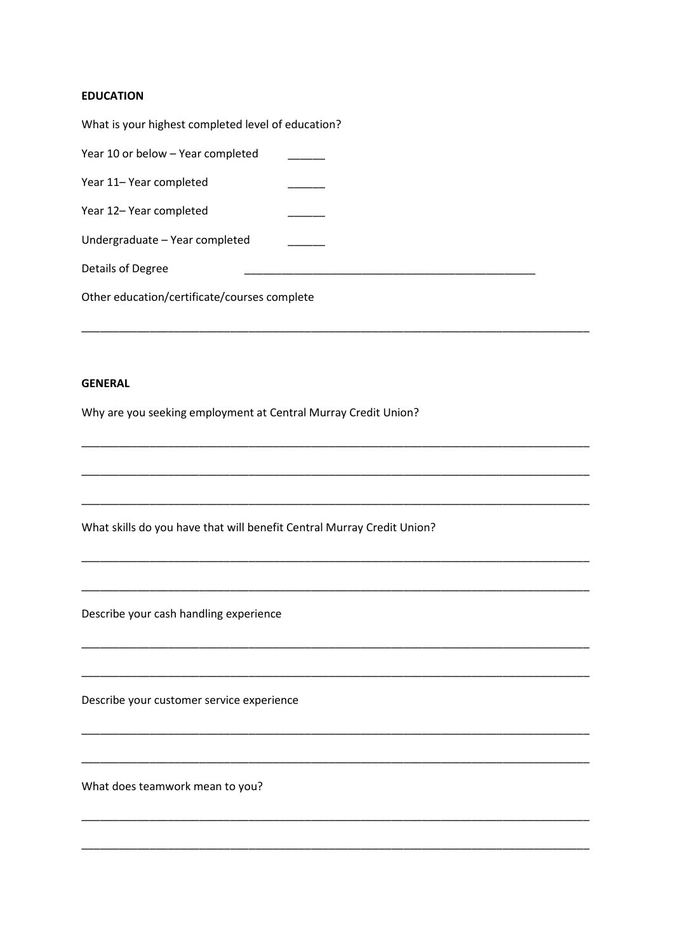# **EDUCATION**

| What is your highest completed level of education? |  |
|----------------------------------------------------|--|
| Year 10 or below - Year completed                  |  |
| Year 11– Year completed                            |  |
| Year 12- Year completed                            |  |
| Undergraduate - Year completed                     |  |
| Details of Degree                                  |  |
| Other education/certificate/courses complete       |  |

## **GENERAL**

Why are you seeking employment at Central Murray Credit Union?

What skills do you have that will benefit Central Murray Credit Union?

Describe your cash handling experience

Describe your customer service experience

What does teamwork mean to you?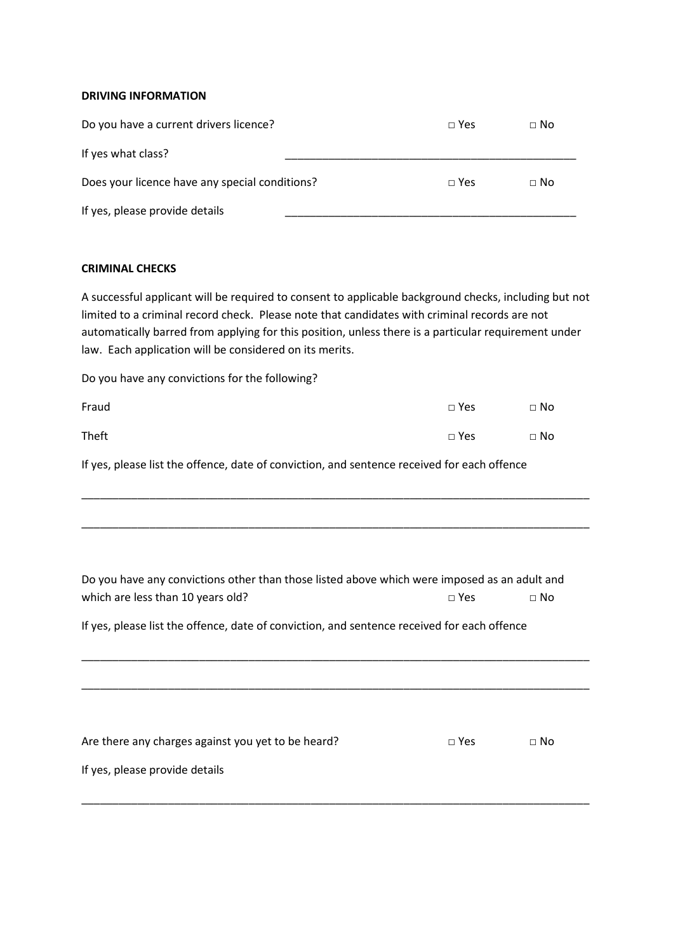## **DRIVING INFORMATION**

| Do you have a current drivers licence?         | $\sqcap$ Yes | $\sqcap$ No |
|------------------------------------------------|--------------|-------------|
| If yes what class?                             |              |             |
| Does your licence have any special conditions? | $\sqcap$ Yes | $\sqcap$ No |
| If yes, please provide details                 |              |             |

### **CRIMINAL CHECKS**

A successful applicant will be required to consent to applicable background checks, including but not limited to a criminal record check. Please note that candidates with criminal records are not automatically barred from applying for this position, unless there is a particular requirement under law. Each application will be considered on its merits.

Do you have any convictions for the following?

| Fraud | $\Box$ Yes | $\Box$ No |
|-------|------------|-----------|
| Theft | $\Box$ Yes | $\Box$ No |

If yes, please list the offence, date of conviction, and sentence received for each offence

| Do you have any convictions other than those listed above which were imposed as an adult and |            |           |
|----------------------------------------------------------------------------------------------|------------|-----------|
| which are less than 10 years old?                                                            | $\Box$ Yes | $\Box$ No |

\_\_\_\_\_\_\_\_\_\_\_\_\_\_\_\_\_\_\_\_\_\_\_\_\_\_\_\_\_\_\_\_\_\_\_\_\_\_\_\_\_\_\_\_\_\_\_\_\_\_\_\_\_\_\_\_\_\_\_\_\_\_\_\_\_\_\_\_\_\_\_\_\_\_\_\_\_\_\_\_\_\_

\_\_\_\_\_\_\_\_\_\_\_\_\_\_\_\_\_\_\_\_\_\_\_\_\_\_\_\_\_\_\_\_\_\_\_\_\_\_\_\_\_\_\_\_\_\_\_\_\_\_\_\_\_\_\_\_\_\_\_\_\_\_\_\_\_\_\_\_\_\_\_\_\_\_\_\_\_\_\_\_\_\_

\_\_\_\_\_\_\_\_\_\_\_\_\_\_\_\_\_\_\_\_\_\_\_\_\_\_\_\_\_\_\_\_\_\_\_\_\_\_\_\_\_\_\_\_\_\_\_\_\_\_\_\_\_\_\_\_\_\_\_\_\_\_\_\_\_\_\_\_\_\_\_\_\_\_\_\_\_\_\_\_\_\_

\_\_\_\_\_\_\_\_\_\_\_\_\_\_\_\_\_\_\_\_\_\_\_\_\_\_\_\_\_\_\_\_\_\_\_\_\_\_\_\_\_\_\_\_\_\_\_\_\_\_\_\_\_\_\_\_\_\_\_\_\_\_\_\_\_\_\_\_\_\_\_\_\_\_\_\_\_\_\_\_\_\_

If yes, please list the offence, date of conviction, and sentence received for each offence

| Are there any charges against you yet to be heard? | $\sqcap$ Yes | $\Box$ No |
|----------------------------------------------------|--------------|-----------|
| If yes, please provide details                     |              |           |
|                                                    |              |           |